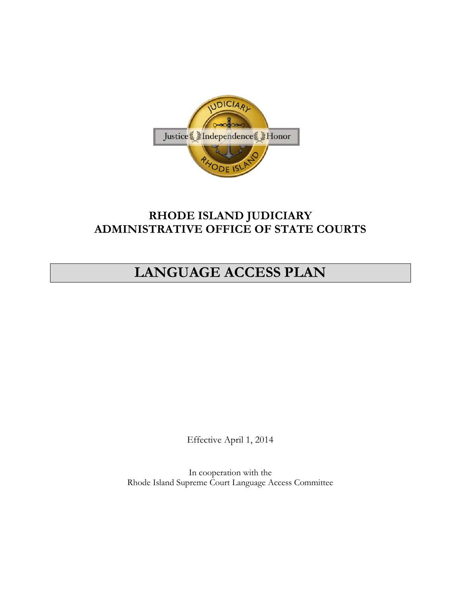

# **RHODE ISLAND JUDICIARY ADMINISTRATIVE OFFICE OF STATE COURTS**

# **LANGUAGE ACCESS PLAN**

Effective April 1, 2014

In cooperation with the Rhode Island Supreme Court Language Access Committee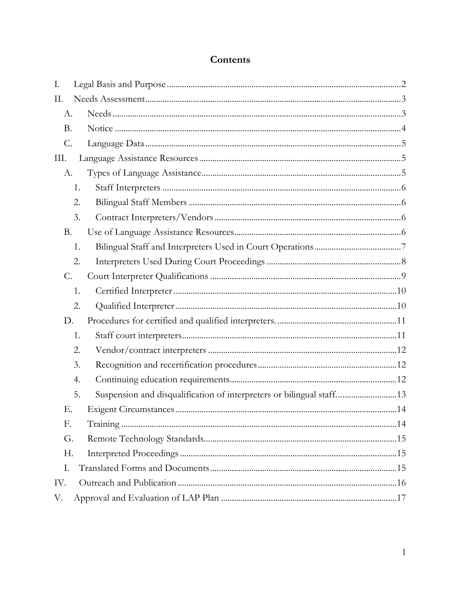# Contents

| I.              |                                                                            |  |  |  |
|-----------------|----------------------------------------------------------------------------|--|--|--|
| П.              |                                                                            |  |  |  |
| А.              |                                                                            |  |  |  |
| <b>B.</b>       |                                                                            |  |  |  |
| $\mathcal{C}$ . |                                                                            |  |  |  |
| Ш.              |                                                                            |  |  |  |
| А.              |                                                                            |  |  |  |
|                 | 1.                                                                         |  |  |  |
|                 | 2.                                                                         |  |  |  |
|                 | 3.                                                                         |  |  |  |
| <b>B.</b>       |                                                                            |  |  |  |
|                 | 1.                                                                         |  |  |  |
|                 | 2.                                                                         |  |  |  |
| C.              |                                                                            |  |  |  |
|                 | 1.                                                                         |  |  |  |
|                 | 2.                                                                         |  |  |  |
| D.              |                                                                            |  |  |  |
|                 | 1.                                                                         |  |  |  |
|                 | 2.                                                                         |  |  |  |
|                 | 3.                                                                         |  |  |  |
|                 | 4.                                                                         |  |  |  |
|                 | Suspension and disqualification of interpreters or bilingual staff13<br>5. |  |  |  |
| Е.              |                                                                            |  |  |  |
| F.              |                                                                            |  |  |  |
| G.              |                                                                            |  |  |  |
| Н.              |                                                                            |  |  |  |
| Ι.              |                                                                            |  |  |  |
| IV.             |                                                                            |  |  |  |
| V.              |                                                                            |  |  |  |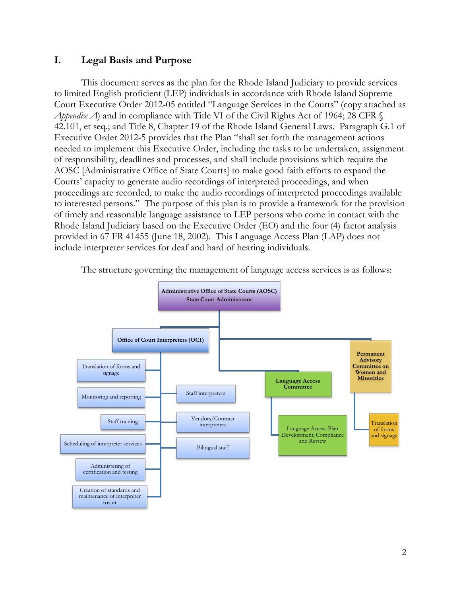## <span id="page-2-0"></span>**I. Legal Basis and Purpose**

This document serves as the plan for the Rhode Island Judiciary to provide services to limited English proficient (LEP) individuals in accordance with Rhode Island Supreme Court Executive Order 2012-05 entitled "Language Services in the Courts" (copy attached as *Appendix A*) and in compliance with Title VI of the Civil Rights Act of 1964; 28 CFR  $\mathcal{S}$ 42.101, et seq.; and Title 8, Chapter 19 of the Rhode Island General Laws. Paragraph G.1 of Executive Order 2012-5 provides that the Plan "shall set forth the management actions needed to implement this Executive Order, including the tasks to be undertaken, assignment of responsibility, deadlines and processes, and shall include provisions which require the AOSC [Administrative Office of State Courts] to make good faith efforts to expand the Courts' capacity to generate audio recordings of interpreted proceedings, and when proceedings are recorded, to make the audio recordings of interpreted proceedings available to interested persons." The purpose of this plan is to provide a framework for the provision of timely and reasonable language assistance to LEP persons who come in contact with the Rhode Island Judiciary based on the Executive Order (EO) and the four (4) factor analysis provided in 67 FR 41455 (June 18, 2002). This Language Access Plan (LAP) does not include interpreter services for deaf and hard of hearing individuals.



The structure governing the management of language access services is as follows: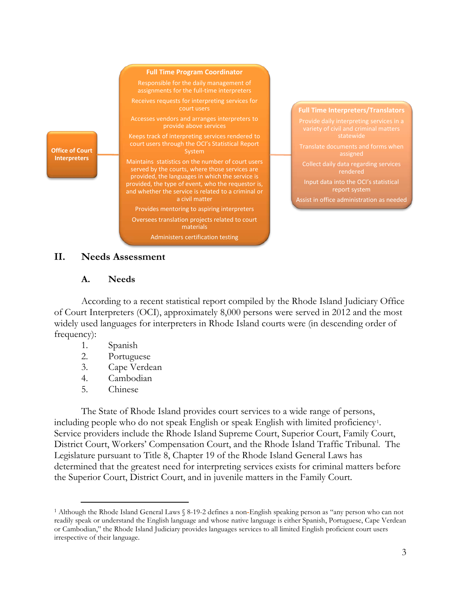

### <span id="page-3-1"></span><span id="page-3-0"></span>**II. Needs Assessment**

### **A. Needs**

According to a recent statistical report compiled by the Rhode Island Judiciary Office of Court Interpreters (OCI), approximately 8,000 persons were served in 2012 and the most widely used languages for interpreters in Rhode Island courts were (in descending order of frequency):

- 1. Spanish
- 2. Portuguese
- 3. Cape Verdean
- 4. Cambodian
- 5. Chinese

The State of Rhode Island provides court services to a wide range of persons, including people who do not speak English or speak English with limited proficiency [1.](#page-3-2) Service providers include the Rhode Island Supreme Court, Superior Court, Family Court, District Court, Workers' Compensation Court, and the Rhode Island Traffic Tribunal. The Legislature pursuant to Title 8, Chapter 19 of the Rhode Island General Laws has determined that the greatest need for interpreting services exists for criminal matters before the Superior Court, District Court, and in juvenile matters in the Family Court.

<span id="page-3-2"></span> <sup>1</sup> Although the Rhode Island General Laws § 8-19-2 defines a non**-**English speaking person as "any person who can not readily speak or understand the English language and whose native language is either Spanish, Portuguese, Cape Verdean or Cambodian," the Rhode Island Judiciary provides languages services to all limited English proficient court users irrespective of their language.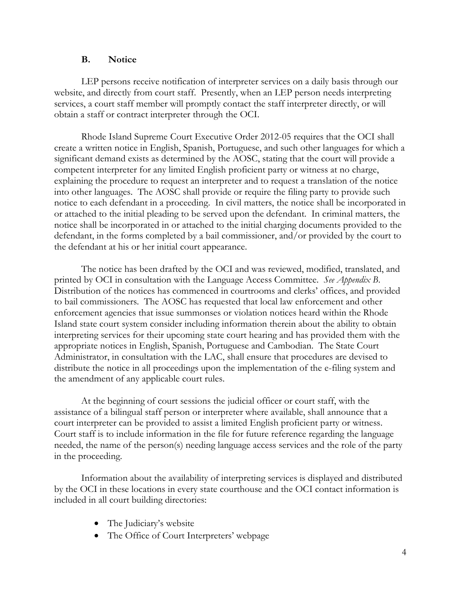#### **B. Notice**

<span id="page-4-0"></span> LEP persons receive notification of interpreter services on a daily basis through our website, and directly from court staff. Presently, when an LEP person needs interpreting services, a court staff member will promptly contact the staff interpreter directly, or will obtain a staff or contract interpreter through the OCI.

Rhode Island Supreme Court Executive Order 2012-05 requires that the OCI shall create a written notice in English, Spanish, Portuguese, and such other languages for which a significant demand exists as determined by the AOSC, stating that the court will provide a competent interpreter for any limited English proficient party or witness at no charge, explaining the procedure to request an interpreter and to request a translation of the notice into other languages. The AOSC shall provide or require the filing party to provide such notice to each defendant in a proceeding. In civil matters, the notice shall be incorporated in or attached to the initial pleading to be served upon the defendant.In criminal matters, the notice shall be incorporated in or attached to the initial charging documents provided to the defendant, in the forms completed by a bail commissioner, and/or provided by the court to the defendant at his or her initial court appearance.

The notice has been drafted by the OCI and was reviewed, modified, translated, and printed by OCI in consultation with the Language Access Committee. *See Appendix B*. Distribution of the notices has commenced in courtrooms and clerks' offices, and provided to bail commissioners. The AOSC has requested that local law enforcement and other enforcement agencies that issue summonses or violation notices heard within the Rhode Island state court system consider including information therein about the ability to obtain interpreting services for their upcoming state court hearing and has provided them with the appropriate notices in English, Spanish, Portuguese and Cambodian. The State Court Administrator, in consultation with the LAC, shall ensure that procedures are devised to distribute the notice in all proceedings upon the implementation of the e-filing system and the amendment of any applicable court rules.

At the beginning of court sessions the judicial officer or court staff, with the assistance of a bilingual staff person or interpreter where available, shall announce that a court interpreter can be provided to assist a limited English proficient party or witness. Court staff is to include information in the file for future reference regarding the language needed, the name of the person(s) needing language access services and the role of the party in the proceeding.

Information about the availability of interpreting services is displayed and distributed by the OCI in these locations in every state courthouse and the OCI contact information is included in all court building directories:

- The Judiciary's website
- The Office of Court Interpreters' webpage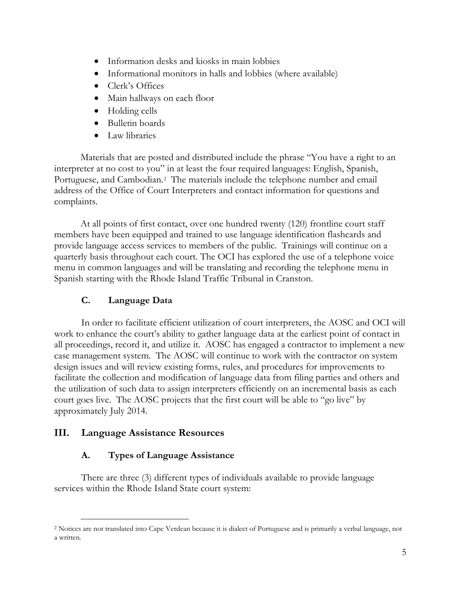- Information desks and kiosks in main lobbies
- Informational monitors in halls and lobbies (where available)
- Clerk's Offices
- Main hallways on each floor
- Holding cells
- Bulletin boards
- Law libraries

Materials that are posted and distributed include the phrase "You have a right to an interpreter at no cost to you" in at least the four required languages: English, Spanish, Portuguese, and Cambodian.<sup>2</sup> The materials include the telephone number and email address of the Office of Court Interpreters and contact information for questions and complaints.

At all points of first contact, over one hundred twenty (120) frontline court staff members have been equipped and trained to use language identification flashcards and provide language access services to members of the public. Trainings will continue on a quarterly basis throughout each court. The OCI has explored the use of a telephone voice menu in common languages and will be translating and recording the telephone menu in Spanish starting with the Rhode Island Traffic Tribunal in Cranston.

### **C. Language Data**

<span id="page-5-0"></span>In order to facilitate efficient utilization of court interpreters, the AOSC and OCI will work to enhance the court's ability to gather language data at the earliest point of contact in all proceedings, record it, and utilize it. AOSC has engaged a contractor to implement a new case management system. The AOSC will continue to work with the contractor on system design issues and will review existing forms, rules, and procedures for improvements to facilitate the collection and modification of language data from filing parties and others and the utilization of such data to assign interpreters efficiently on an incremental basis as each court goes live. The AOSC projects that the first court will be able to "go live" by approximately July 2014.

### <span id="page-5-2"></span><span id="page-5-1"></span>**III. Language Assistance Resources**

### **A. Types of Language Assistance**

There are three (3) different types of individuals available to provide language services within the Rhode Island State court system:

<span id="page-5-3"></span> <sup>2</sup> Notices are not translated into Cape Verdean because it is dialect of Portuguese and is primarily a verbal language, not a written.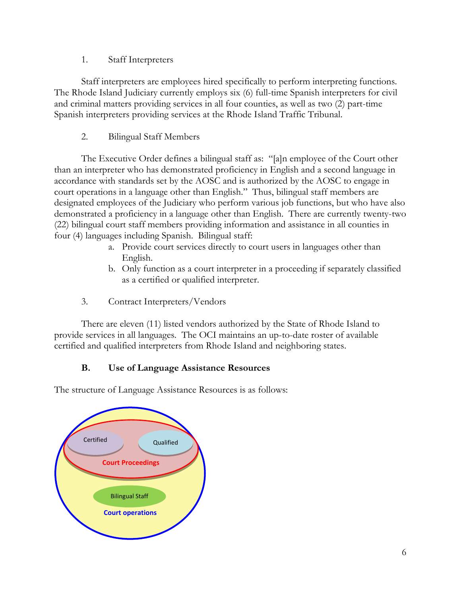1. Staff Interpreters

<span id="page-6-0"></span>Staff interpreters are employees hired specifically to perform interpreting functions. The Rhode Island Judiciary currently employs six (6) full-time Spanish interpreters for civil and criminal matters providing services in all four counties, as well as two (2) part-time Spanish interpreters providing services at the Rhode Island Traffic Tribunal.

2. Bilingual Staff Members

<span id="page-6-1"></span>The Executive Order defines a bilingual staff as: "[a]n employee of the Court other than an interpreter who has demonstrated proficiency in English and a second language in accordance with standards set by the AOSC and is authorized by the AOSC to engage in court operations in a language other than English." Thus, bilingual staff members are designated employees of the Judiciary who perform various job functions, but who have also demonstrated a proficiency in a language other than English. There are currently twenty-two (22) bilingual court staff members providing information and assistance in all counties in four (4) languages including Spanish. Bilingual staff:

- a. Provide court services directly to court users in languages other than English.
- b. Only function as a court interpreter in a proceeding if separately classified as a certified or qualified interpreter.
- 3. Contract Interpreters/Vendors

<span id="page-6-2"></span> There are eleven (11) listed vendors authorized by the State of Rhode Island to provide services in all languages. The OCI maintains an up-to-date roster of available certified and qualified interpreters from Rhode Island and neighboring states.

# **B. Use of Language Assistance Resources**

<span id="page-6-3"></span>The structure of Language Assistance Resources is as follows:

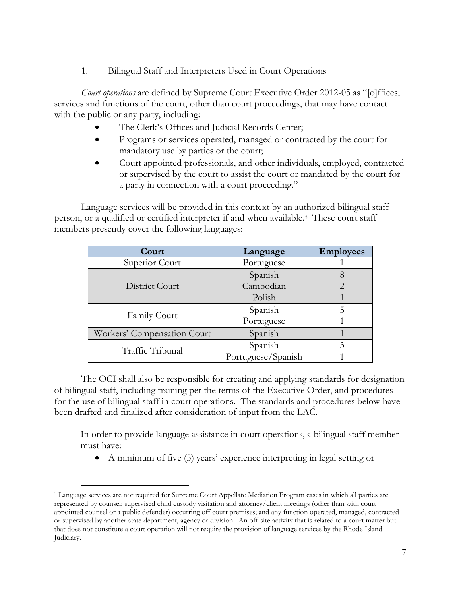1. Bilingual Staff and Interpreters Used in Court Operations

<span id="page-7-0"></span>*Court operations* are defined by Supreme Court Executive Order 2012-05 as "[o]ffices, services and functions of the court, other than court proceedings, that may have contact with the public or any party, including:

- The Clerk's Offices and Judicial Records Center;
- Programs or services operated, managed or contracted by the court for mandatory use by parties or the court;
- Court appointed professionals, and other individuals, employed, contracted or supervised by the court to assist the court or mandated by the court for a party in connection with a court proceeding."

Language services will be provided in this context by an authorized bilingual staff person, or a qualified or certified interpreter if and when available.[3](#page-7-1) These court staff members presently cover the following languages:

| Court                       | Language           | <b>Employees</b> |  |
|-----------------------------|--------------------|------------------|--|
| Superior Court              | Portuguese         |                  |  |
|                             | Spanish            |                  |  |
| District Court              | Cambodian          |                  |  |
|                             | Polish             |                  |  |
|                             | Spanish            |                  |  |
| <b>Family Court</b>         | Portuguese         |                  |  |
| Workers' Compensation Court | Spanish            |                  |  |
| Traffic Tribunal            | Spanish            |                  |  |
|                             | Portuguese/Spanish |                  |  |

The OCI shall also be responsible for creating and applying standards for designation of bilingual staff, including training per the terms of the Executive Order, and procedures for the use of bilingual staff in court operations. The standards and procedures below have been drafted and finalized after consideration of input from the LAC.

In order to provide language assistance in court operations, a bilingual staff member must have:

• A minimum of five (5) years' experience interpreting in legal setting or

<span id="page-7-1"></span> <sup>3</sup> Language services are not required for Supreme Court Appellate Mediation Program cases in which all parties are represented by counsel; supervised child custody visitation and attorney/client meetings (other than with court appointed counsel or a public defender) occurring off court premises; and any function operated, managed, contracted or supervised by another state department, agency or division. An off-site activity that is related to a court matter but that does not constitute a court operation will not require the provision of language services by the Rhode Island Judiciary.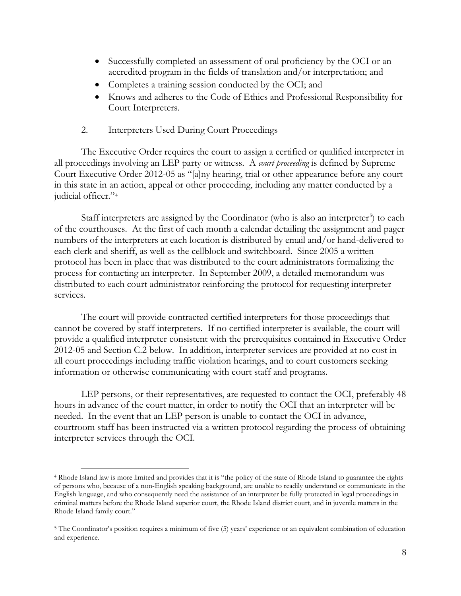- Successfully completed an assessment of oral proficiency by the OCI or an accredited program in the fields of translation and/or interpretation; and
- Completes a training session conducted by the OCI; and
- Knows and adheres to the Code of Ethics and Professional Responsibility for Court Interpreters.
- 2. Interpreters Used During Court Proceedings

<span id="page-8-0"></span> The Executive Order requires the court to assign a certified or qualified interpreter in all proceedings involving an LEP party or witness. A *court proceeding* is defined by Supreme Court Executive Order 2012-05 as "[a]ny hearing, trial or other appearance before any court in this state in an action, appeal or other proceeding, including any matter conducted by a judicial officer."[4](#page-8-1)

Staff interpreters are assigned by the Coordinator (who is also an interpreter<sup>[5](#page-8-2)</sup>) to each of the courthouses. At the first of each month a calendar detailing the assignment and pager numbers of the interpreters at each location is distributed by email and/or hand-delivered to each clerk and sheriff, as well as the cellblock and switchboard. Since 2005 a written protocol has been in place that was distributed to the court administrators formalizing the process for contacting an interpreter. In September 2009, a detailed memorandum was distributed to each court administrator reinforcing the protocol for requesting interpreter services.

The court will provide contracted certified interpreters for those proceedings that cannot be covered by staff interpreters. If no certified interpreter is available, the court will provide a qualified interpreter consistent with the prerequisites contained in Executive Order 2012-05 and Section C.2 below. In addition, interpreter services are provided at no cost in all court proceedings including traffic violation hearings, and to court customers seeking information or otherwise communicating with court staff and programs.

LEP persons, or their representatives, are requested to contact the OCI, preferably 48 hours in advance of the court matter, in order to notify the OCI that an interpreter will be needed. In the event that an LEP person is unable to contact the OCI in advance, courtroom staff has been instructed via a written protocol regarding the process of obtaining interpreter services through the OCI.

<span id="page-8-1"></span> <sup>4</sup> Rhode Island law is more limited and provides that it is "the policy of the state of Rhode Island to guarantee the rights of persons who, because of a non-English speaking background, are unable to readily understand or communicate in the English language, and who consequently need the assistance of an interpreter be fully protected in legal proceedings in criminal matters before the Rhode Island superior court, the Rhode Island district court, and in juvenile matters in the Rhode Island family court."

<span id="page-8-2"></span><sup>5</sup> The Coordinator's position requires a minimum of five (5) years' experience or an equivalent combination of education and experience.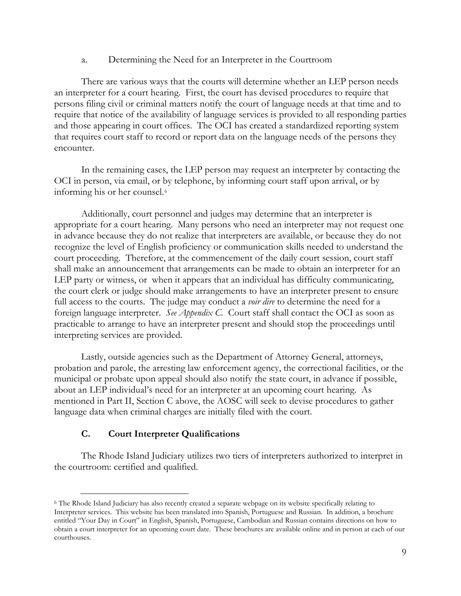a. Determining the Need for an Interpreter in the Courtroom

There are various ways that the courts will determine whether an LEP person needs an interpreter for a court hearing. First, the court has devised procedures to require that persons filing civil or criminal matters notify the court of language needs at that time and to require that notice of the availability of language services is provided to all responding parties and those appearing in court offices. The OCI has created a standardized reporting system that requires court staff to record or report data on the language needs of the persons they encounter.

In the remaining cases, the LEP person may request an interpreter by contacting the OCI in person, via email, or by telephone, by informing court staff upon arrival, or by informing his or her counsel.<sup>6</sup>

Additionally, court personnel and judges may determine that an interpreter is appropriate for a court hearing. Many persons who need an interpreter may not request one in advance because they do not realize that interpreters are available, or because they do not recognize the level of English proficiency or communication skills needed to understand the court proceeding. Therefore, at the commencement of the daily court session, court staff shall make an announcement that arrangements can be made to obtain an interpreter for an LEP party or witness, or when it appears that an individual has difficulty communicating, the court clerk or judge should make arrangements to have an interpreter present to ensure full access to the courts. The judge may conduct a *voir dire* to determine the need for a foreign language interpreter. *See Appendix C.* Court staff shall contact the OCI as soon as practicable to arrange to have an interpreter present and should stop the proceedings until interpreting services are provided.

Lastly, outside agencies such as the Department of Attorney General, attorneys, probation and parole, the arresting law enforcement agency, the correctional facilities, or the municipal or probate upon appeal should also notify the state court, in advance if possible, about an LEP individual's need for an interpreter at an upcoming court hearing. As mentioned in Part II, Section C above, the AOSC will seek to devise procedures to gather language data when criminal charges are initially filed with the court.

### **C. Court Interpreter Qualifications**

<span id="page-9-0"></span>The Rhode Island Judiciary utilizes two tiers of interpreters authorized to interpret in the courtroom: certified and qualified.

<span id="page-9-1"></span> <sup>6</sup> The Rhode Island Judiciary has also recently created a separate webpage on its website specifically relating to Interpreter services. This website has been translated into Spanish, Portuguese and Russian. In addition, a brochure entitled "Your Day in Court" in English, Spanish, Portuguese, Cambodian and Russian contains directions on how to obtain a court interpreter for an upcoming court date. These brochures are available online and in person at each of our courthouses.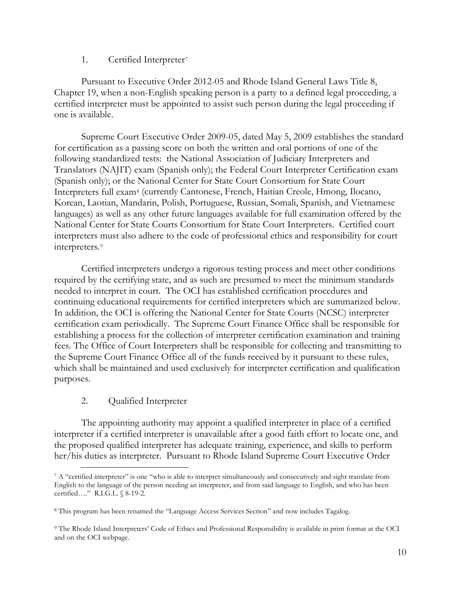### 1. Certified Interpreter[7](#page-10-2)

<span id="page-10-0"></span>Pursuant to Executive Order 2012-05 and Rhode Island General Laws Title 8, Chapter 19, when a non-English speaking person is a party to a defined legal proceeding, a certified interpreter must be appointed to assist such person during the legal proceeding if one is available.

Supreme Court Executive Order 2009-05, dated May 5, 2009 establishes the standard for certification as a passing score on both the written and oral portions of one of the following standardized tests: the National Association of Judiciary Interpreters and Translators (NAJIT) exam (Spanish only); the Federal Court Interpreter Certification exam (Spanish only); or the National Center for State Court Consortium for State Court Interpreters full exam[8](#page-10-3) (currently Cantonese, French, Haitian Creole, Hmong, Ilocano, Korean, Laotian, Mandarin, Polish, Portuguese, Russian, Somali, Spanish, and Vietnamese languages) as well as any other future languages available for full examination offered by the National Center for State Courts Consortium for State Court Interpreters. Certified court interpreters must also adhere to the code of professional ethics and responsibility for court interpreters.[9](#page-10-4)

Certified interpreters undergo a rigorous testing process and meet other conditions required by the certifying state, and as such are presumed to meet the minimum standards needed to interpret in court. The OCI has established certification procedures and continuing educational requirements for certified interpreters which are summarized below. In addition, the OCI is offering the National Center for State Courts (NCSC) interpreter certification exam periodically. The Supreme Court Finance Office shall be responsible for establishing a process for the collection of interpreter certification examination and training fees. The Office of Court Interpreters shall be responsible for collecting and transmitting to the Supreme Court Finance Office all of the funds received by it pursuant to these rules, which shall be maintained and used exclusively for interpreter certification and qualification purposes.

### 2. Qualified Interpreter

<span id="page-10-1"></span>The appointing authority may appoint a qualified interpreter in place of a certified interpreter if a certified interpreter is unavailable after a good faith effort to locate one, and the proposed qualified interpreter has adequate training, experience, and skills to perform her/his duties as interpreter. Pursuant to Rhode Island Supreme Court Executive Order

<span id="page-10-2"></span> <sup>7</sup> A "certified interpreter" is one "who is able to interpret simultaneously and consecutively and sight translate from English to the language of the person needing an interpreter, and from said language to English, and who has been certified…." R.I.G.L. § 8-19-2.

<span id="page-10-3"></span><sup>8</sup> This program has been renamed the "Language Access Services Section" and now includes Tagalog.

<span id="page-10-4"></span><sup>9</sup> The Rhode Island Interpreters' Code of Ethics and Professional Responsibility is available in print format at the OCI and on the OCI webpage.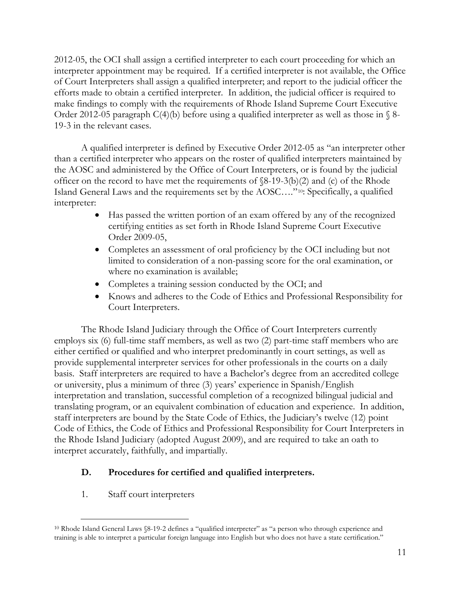2012-05, the OCI shall assign a certified interpreter to each court proceeding for which an interpreter appointment may be required. If a certified interpreter is not available, the Office of Court Interpreters shall assign a qualified interpreter; and report to the judicial officer the efforts made to obtain a certified interpreter.In addition, the judicial officer is required to make findings to comply with the requirements of Rhode Island Supreme Court Executive Order 2012-05 paragraph C(4)(b) before using a qualified interpreter as well as those in  $\S$  8-19-3 in the relevant cases.

 A qualified interpreter is defined by Executive Order 2012-05 as "an interpreter other than a certified interpreter who appears on the roster of qualified interpreters maintained by the AOSC and administered by the Office of Court Interpreters, or is found by the judicial officer on the record to have met the requirements of  $\delta(-19-3(b)(2))$  and (c) of the Rhode Island General Laws and the requirements set by the AOSC…."[10](#page-11-2): Specifically, a qualified interpreter:

- Has passed the written portion of an exam offered by any of the recognized certifying entities as set forth in Rhode Island Supreme Court Executive Order 2009-05,
- Completes an assessment of oral proficiency by the OCI including but not limited to consideration of a non-passing score for the oral examination, or where no examination is available;
- Completes a training session conducted by the OCI; and
- Knows and adheres to the Code of Ethics and Professional Responsibility for Court Interpreters.

 The Rhode Island Judiciary through the Office of Court Interpreters currently employs six (6) full-time staff members, as well as two (2) part-time staff members who are either certified or qualified and who interpret predominantly in court settings, as well as provide supplemental interpreter services for other professionals in the courts on a daily basis. Staff interpreters are required to have a Bachelor's degree from an accredited college or university, plus a minimum of three (3) years' experience in Spanish/English interpretation and translation, successful completion of a recognized bilingual judicial and translating program, or an equivalent combination of education and experience. In addition, staff interpreters are bound by the State Code of Ethics, the Judiciary's twelve (12) point Code of Ethics, the Code of Ethics and Professional Responsibility for Court Interpreters in the Rhode Island Judiciary (adopted August 2009), and are required to take an oath to interpret accurately, faithfully, and impartially.

### <span id="page-11-0"></span>**D. Procedures for certified and qualified interpreters.**

<span id="page-11-1"></span>1. Staff court interpreters

<span id="page-11-2"></span> <sup>10</sup> Rhode Island General Laws §8-19-2 defines a "qualified interpreter" as "a person who through experience and training is able to interpret a particular foreign language into English but who does not have a state certification."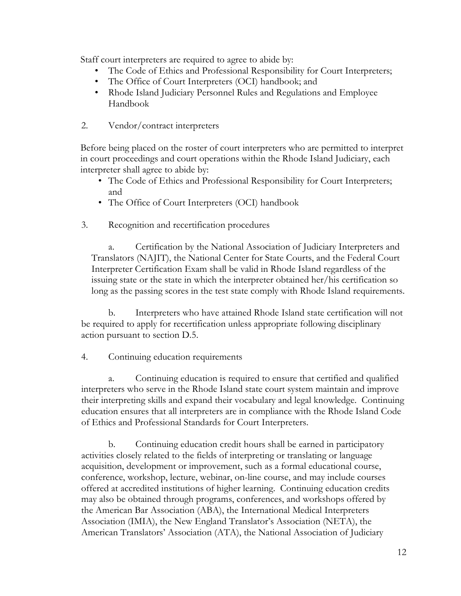Staff court interpreters are required to agree to abide by:

- The Code of Ethics and Professional Responsibility for Court Interpreters;
- The Office of Court Interpreters (OCI) handbook; and
- Rhode Island Judiciary Personnel Rules and Regulations and Employee Handbook
- <span id="page-12-0"></span>2. Vendor/contract interpreters

Before being placed on the roster of court interpreters who are permitted to interpret in court proceedings and court operations within the Rhode Island Judiciary, each interpreter shall agree to abide by:

- The Code of Ethics and Professional Responsibility for Court Interpreters; and
- The Office of Court Interpreters (OCI) handbook
- <span id="page-12-1"></span>3. Recognition and recertification procedures

a. Certification by the National Association of Judiciary Interpreters and Translators (NAJIT), the National Center for State Courts, and the Federal Court Interpreter Certification Exam shall be valid in Rhode Island regardless of the issuing state or the state in which the interpreter obtained her/his certification so long as the passing scores in the test state comply with Rhode Island requirements.

 b. Interpreters who have attained Rhode Island state certification will not be required to apply for recertification unless appropriate following disciplinary action pursuant to section D.5.

<span id="page-12-2"></span>4. Continuing education requirements

a. Continuing education is required to ensure that certified and qualified interpreters who serve in the Rhode Island state court system maintain and improve their interpreting skills and expand their vocabulary and legal knowledge. Continuing education ensures that all interpreters are in compliance with the Rhode Island Code of Ethics and Professional Standards for Court Interpreters.

b. Continuing education credit hours shall be earned in participatory activities closely related to the fields of interpreting or translating or language acquisition, development or improvement, such as a formal educational course, conference, workshop, lecture, webinar, on-line course, and may include courses offered at accredited institutions of higher learning. Continuing education credits may also be obtained through programs, conferences, and workshops offered by the American Bar Association (ABA), the International Medical Interpreters Association (IMIA), the New England Translator's Association (NETA), the American Translators' Association (ATA), the National Association of Judiciary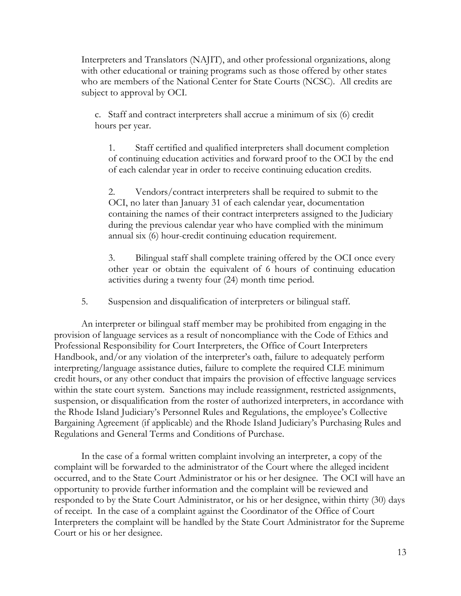Interpreters and Translators (NAJIT), and other professional organizations, along with other educational or training programs such as those offered by other states who are members of the National Center for State Courts (NCSC). All credits are subject to approval by OCI.

c. Staff and contract interpreters shall accrue a minimum of six (6) credit hours per year.

1. Staff certified and qualified interpreters shall document completion of continuing education activities and forward proof to the OCI by the end of each calendar year in order to receive continuing education credits.

2. Vendors/contract interpreters shall be required to submit to the OCI, no later than January 31 of each calendar year, documentation containing the names of their contract interpreters assigned to the Judiciary during the previous calendar year who have complied with the minimum annual six (6) hour-credit continuing education requirement.

3. Bilingual staff shall complete training offered by the OCI once every other year or obtain the equivalent of 6 hours of continuing education activities during a twenty four (24) month time period.

5. Suspension and disqualification of interpreters or bilingual staff.

<span id="page-13-0"></span>An interpreter or bilingual staff member may be prohibited from engaging in the provision of language services as a result of noncompliance with the Code of Ethics and Professional Responsibility for Court Interpreters, the Office of Court Interpreters Handbook, and/or any violation of the interpreter's oath, failure to adequately perform interpreting/language assistance duties, failure to complete the required CLE minimum credit hours, or any other conduct that impairs the provision of effective language services within the state court system. Sanctions may include reassignment, restricted assignments, suspension, or disqualification from the roster of authorized interpreters, in accordance with the Rhode Island Judiciary's Personnel Rules and Regulations, the employee's Collective Bargaining Agreement (if applicable) and the Rhode Island Judiciary's Purchasing Rules and Regulations and General Terms and Conditions of Purchase.

In the case of a formal written complaint involving an interpreter, a copy of the complaint will be forwarded to the administrator of the Court where the alleged incident occurred, and to the State Court Administrator or his or her designee. The OCI will have an opportunity to provide further information and the complaint will be reviewed and responded to by the State Court Administrator, or his or her designee, within thirty (30) days of receipt. In the case of a complaint against the Coordinator of the Office of Court Interpreters the complaint will be handled by the State Court Administrator for the Supreme Court or his or her designee.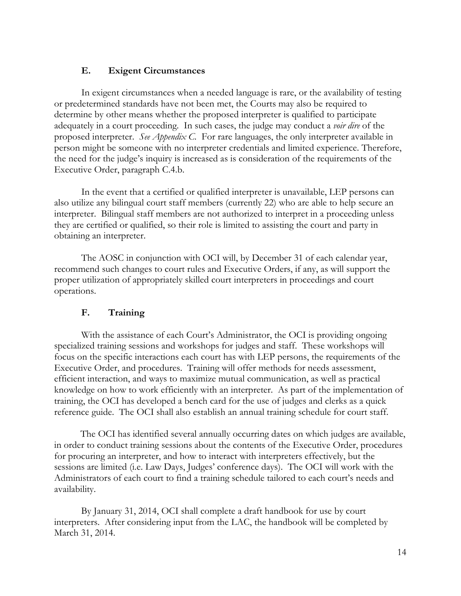### **E. Exigent Circumstances**

<span id="page-14-0"></span>In exigent circumstances when a needed language is rare, or the availability of testing or predetermined standards have not been met, the Courts may also be required to determine by other means whether the proposed interpreter is qualified to participate adequately in a court proceeding. In such cases, the judge may conduct a *voir dire* of the proposed interpreter. *See Appendix C.* For rare languages, the only interpreter available in person might be someone with no interpreter credentials and limited experience. Therefore, the need for the judge's inquiry is increased as is consideration of the requirements of the Executive Order, paragraph C.4.b.

In the event that a certified or qualified interpreter is unavailable, LEP persons can also utilize any bilingual court staff members (currently 22) who are able to help secure an interpreter. Bilingual staff members are not authorized to interpret in a proceeding unless they are certified or qualified, so their role is limited to assisting the court and party in obtaining an interpreter.

The AOSC in conjunction with OCI will, by December 31 of each calendar year, recommend such changes to court rules and Executive Orders, if any, as will support the proper utilization of appropriately skilled court interpreters in proceedings and court operations.

### **F. Training**

<span id="page-14-1"></span>With the assistance of each Court's Administrator, the OCI is providing ongoing specialized training sessions and workshops for judges and staff. These workshops will focus on the specific interactions each court has with LEP persons, the requirements of the Executive Order, and procedures. Training will offer methods for needs assessment, efficient interaction, and ways to maximize mutual communication, as well as practical knowledge on how to work efficiently with an interpreter. As part of the implementation of training, the OCI has developed a bench card for the use of judges and clerks as a quick reference guide. The OCI shall also establish an annual training schedule for court staff.

The OCI has identified several annually occurring dates on which judges are available, in order to conduct training sessions about the contents of the Executive Order, procedures for procuring an interpreter, and how to interact with interpreters effectively, but the sessions are limited (i.e. Law Days, Judges' conference days). The OCI will work with the Administrators of each court to find a training schedule tailored to each court's needs and availability.

By January 31, 2014, OCI shall complete a draft handbook for use by court interpreters. After considering input from the LAC, the handbook will be completed by March 31, 2014.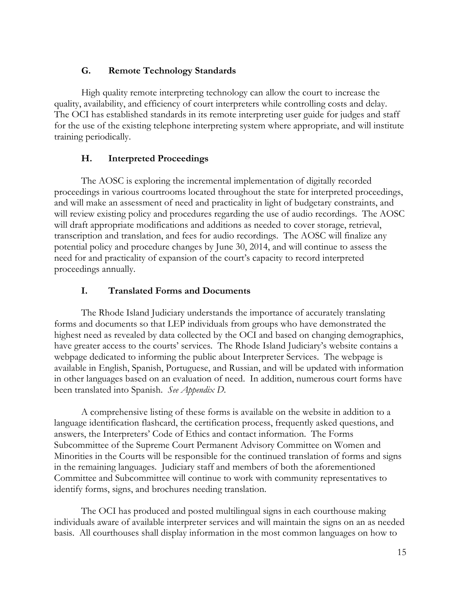### **G. Remote Technology Standards**

<span id="page-15-0"></span>High quality remote interpreting technology can allow the court to increase the quality, availability, and efficiency of court interpreters while controlling costs and delay. The OCI has established standards in its remote interpreting user guide for judges and staff for the use of the existing telephone interpreting system where appropriate, and will institute training periodically.

# **H. Interpreted Proceedings**

<span id="page-15-1"></span>The AOSC is exploring the incremental implementation of digitally recorded proceedings in various courtrooms located throughout the state for interpreted proceedings, and will make an assessment of need and practicality in light of budgetary constraints, and will review existing policy and procedures regarding the use of audio recordings. The AOSC will draft appropriate modifications and additions as needed to cover storage, retrieval, transcription and translation, and fees for audio recordings. The AOSC will finalize any potential policy and procedure changes by June 30, 2014, and will continue to assess the need for and practicality of expansion of the court's capacity to record interpreted proceedings annually.

## **I. Translated Forms and Documents**

<span id="page-15-2"></span> The Rhode Island Judiciary understands the importance of accurately translating forms and documents so that LEP individuals from groups who have demonstrated the highest need as revealed by data collected by the OCI and based on changing demographics, have greater access to the courts' services. The Rhode Island Judiciary's website contains a webpage dedicated to informing the public about Interpreter Services. The webpage is available in English, Spanish, Portuguese, and Russian, and will be updated with information in other languages based on an evaluation of need. In addition, numerous court forms have been translated into Spanish. *See Appendix D.* 

A comprehensive listing of these forms is available on the website in addition to a language identification flashcard, the certification process, frequently asked questions, and answers, the Interpreters' Code of Ethics and contact information. The Forms Subcommittee of the Supreme Court Permanent Advisory Committee on Women and Minorities in the Courts will be responsible for the continued translation of forms and signs in the remaining languages. Judiciary staff and members of both the aforementioned Committee and Subcommittee will continue to work with community representatives to identify forms, signs, and brochures needing translation.

The OCI has produced and posted multilingual signs in each courthouse making individuals aware of available interpreter services and will maintain the signs on an as needed basis. All courthouses shall display information in the most common languages on how to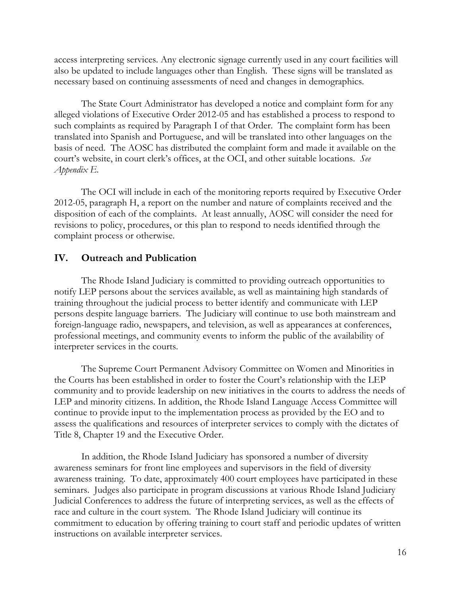access interpreting services. Any electronic signage currently used in any court facilities will also be updated to include languages other than English. These signs will be translated as necessary based on continuing assessments of need and changes in demographics.

The State Court Administrator has developed a notice and complaint form for any alleged violations of Executive Order 2012-05 and has established a process to respond to such complaints as required by Paragraph I of that Order. The complaint form has been translated into Spanish and Portuguese, and will be translated into other languages on the basis of need. The AOSC has distributed the complaint form and made it available on the court's website, in court clerk's offices, at the OCI, and other suitable locations. *See Appendix E.* 

The OCI will include in each of the monitoring reports required by Executive Order 2012-05, paragraph H, a report on the number and nature of complaints received and the disposition of each of the complaints. At least annually, AOSC will consider the need for revisions to policy, procedures, or this plan to respond to needs identified through the complaint process or otherwise.

### <span id="page-16-0"></span>**IV. Outreach and Publication**

The Rhode Island Judiciary is committed to providing outreach opportunities to notify LEP persons about the services available, as well as maintaining high standards of training throughout the judicial process to better identify and communicate with LEP persons despite language barriers. The Judiciary will continue to use both mainstream and foreign-language radio, newspapers, and television, as well as appearances at conferences, professional meetings, and community events to inform the public of the availability of interpreter services in the courts.

The Supreme Court Permanent Advisory Committee on Women and Minorities in the Courts has been established in order to foster the Court's relationship with the LEP community and to provide leadership on new initiatives in the courts to address the needs of LEP and minority citizens. In addition, the Rhode Island Language Access Committee will continue to provide input to the implementation process as provided by the EO and to assess the qualifications and resources of interpreter services to comply with the dictates of Title 8, Chapter 19 and the Executive Order.

In addition, the Rhode Island Judiciary has sponsored a number of diversity awareness seminars for front line employees and supervisors in the field of diversity awareness training. To date, approximately 400 court employees have participated in these seminars. Judges also participate in program discussions at various Rhode Island Judiciary Judicial Conferences to address the future of interpreting services, as well as the effects of race and culture in the court system. The Rhode Island Judiciary will continue its commitment to education by offering training to court staff and periodic updates of written instructions on available interpreter services.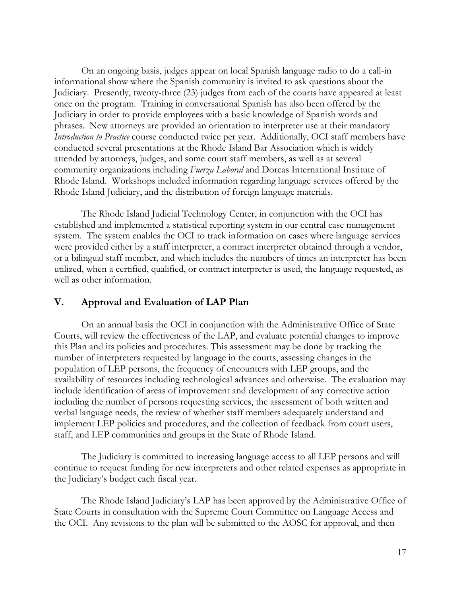On an ongoing basis, judges appear on local Spanish language radio to do a call-in informational show where the Spanish community is invited to ask questions about the Judiciary. Presently, twenty-three (23) judges from each of the courts have appeared at least once on the program. Training in conversational Spanish has also been offered by the Judiciary in order to provide employees with a basic knowledge of Spanish words and phrases. New attorneys are provided an orientation to interpreter use at their mandatory *Introduction to Practice* course conducted twice per year. Additionally, OCI staff members have conducted several presentations at the Rhode Island Bar Association which is widely attended by attorneys, judges, and some court staff members, as well as at several community organizations including *Fuerza Laboral* and Dorcas International Institute of Rhode Island. Workshops included information regarding language services offered by the Rhode Island Judiciary, and the distribution of foreign language materials.

The Rhode Island Judicial Technology Center, in conjunction with the OCI has established and implemented a statistical reporting system in our central case management system. The system enables the OCI to track information on cases where language services were provided either by a staff interpreter, a contract interpreter obtained through a vendor, or a bilingual staff member, and which includes the numbers of times an interpreter has been utilized, when a certified, qualified, or contract interpreter is used, the language requested, as well as other information.

### <span id="page-17-0"></span>**V. Approval and Evaluation of LAP Plan**

On an annual basis the OCI in conjunction with the Administrative Office of State Courts, will review the effectiveness of the LAP, and evaluate potential changes to improve this Plan and its policies and procedures. This assessment may be done by tracking the number of interpreters requested by language in the courts, assessing changes in the population of LEP persons, the frequency of encounters with LEP groups, and the availability of resources including technological advances and otherwise. The evaluation may include identification of areas of improvement and development of any corrective action including the number of persons requesting services, the assessment of both written and verbal language needs, the review of whether staff members adequately understand and implement LEP policies and procedures, and the collection of feedback from court users, staff, and LEP communities and groups in the State of Rhode Island.

The Judiciary is committed to increasing language access to all LEP persons and will continue to request funding for new interpreters and other related expenses as appropriate in the Judiciary's budget each fiscal year.

The Rhode Island Judiciary's LAP has been approved by the Administrative Office of State Courts in consultation with the Supreme Court Committee on Language Access and the OCI. Any revisions to the plan will be submitted to the AOSC for approval, and then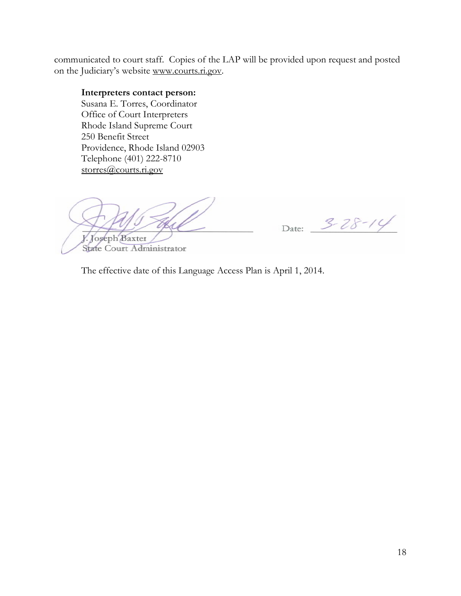communicated to court staff. Copies of the LAP will be provided upon request and posted on the Judiciary's website [www.courts.ri.gov.](http://www.courts.ri.gov/)

#### **Interpreters contact person:**

Susana E. Torres, Coordinator Office of Court Interpreters Rhode Island Supreme Court 250 Benefit Street Providence, Rhode Island 02903 Telephone (401) 222-8710 storres@courts.ri.gov

V. Joseph Baxter

State Court Administrator

Date: 3-28-14

The effective date of this Language Access Plan is April 1, 2014.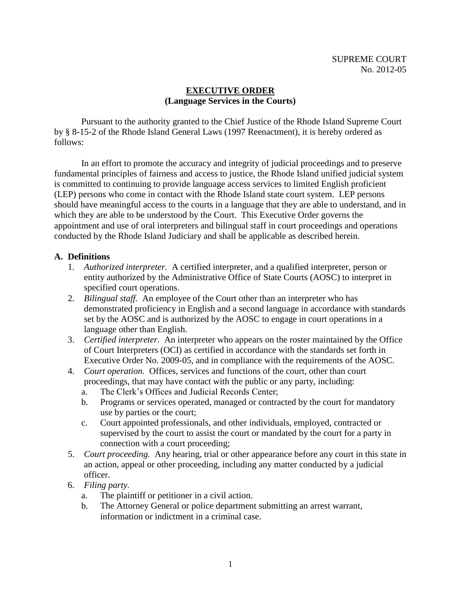### **EXECUTIVE ORDER (Language Services in the Courts)**

 Pursuant to the authority granted to the Chief Justice of the Rhode Island Supreme Court by § 8-15-2 of the Rhode Island General Laws (1997 Reenactment), it is hereby ordered as follows:

In an effort to promote the accuracy and integrity of judicial proceedings and to preserve fundamental principles of fairness and access to justice, the Rhode Island unified judicial system is committed to continuing to provide language access services to limited English proficient (LEP) persons who come in contact with the Rhode Island state court system. LEP persons should have meaningful access to the courts in a language that they are able to understand, and in which they are able to be understood by the Court. This Executive Order governs the appointment and use of oral interpreters and bilingual staff in court proceedings and operations conducted by the Rhode Island Judiciary and shall be applicable as described herein.

### **A. Definitions**

- 1. *Authorized interpreter.* A certified interpreter, and a qualified interpreter, person or entity authorized by the Administrative Office of State Courts (AOSC) to interpret in specified court operations.
- 2. *Bilingual staff.* An employee of the Court other than an interpreter who has demonstrated proficiency in English and a second language in accordance with standards set by the AOSC and is authorized by the AOSC to engage in court operations in a language other than English.
- 3. *Certified interpreter.* An interpreter who appears on the roster maintained by the Office of Court Interpreters (OCI) as certified in accordance with the standards set forth in Executive Order No. 2009-05, and in compliance with the requirements of the AOSC.
- 4. *Court operation.* Offices, services and functions of the court, other than court proceedings, that may have contact with the public or any party, including:
	- a. The Clerk's Offices and Judicial Records Center;
	- b. Programs or services operated, managed or contracted by the court for mandatory use by parties or the court;
	- c. Court appointed professionals, and other individuals, employed, contracted or supervised by the court to assist the court or mandated by the court for a party in connection with a court proceeding;
- 5. *Court proceeding.* Any hearing, trial or other appearance before any court in this state in an action, appeal or other proceeding, including any matter conducted by a judicial officer.
- 6. *Filing party.* 
	- a. The plaintiff or petitioner in a civil action.
	- b. The Attorney General or police department submitting an arrest warrant, information or indictment in a criminal case.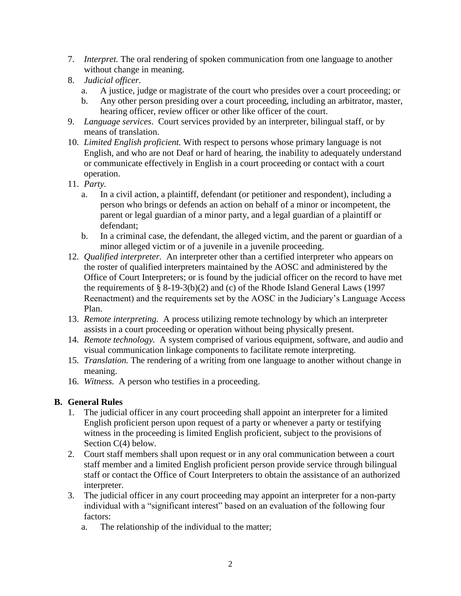- 7. *Interpret.* The oral rendering of spoken communication from one language to another without change in meaning.
- 8. *Judicial officer.* 
	- a. A justice, judge or magistrate of the court who presides over a court proceeding; or
	- b. Any other person presiding over a court proceeding, including an arbitrator, master, hearing officer, review officer or other like officer of the court.
- 9. *Language services*. Court services provided by an interpreter, bilingual staff, or by means of translation.
- 10. *Limited English proficient.* With respect to persons whose primary language is not English, and who are not Deaf or hard of hearing, the inability to adequately understand or communicate effectively in English in a court proceeding or contact with a court operation.
- 11. *Party.*
	- a. In a civil action, a plaintiff, defendant (or petitioner and respondent), including a person who brings or defends an action on behalf of a minor or incompetent, the parent or legal guardian of a minor party, and a legal guardian of a plaintiff or defendant;
	- b. In a criminal case, the defendant, the alleged victim, and the parent or guardian of a minor alleged victim or of a juvenile in a juvenile proceeding.
- 12. *Qualified interpreter.* An interpreter other than a certified interpreter who appears on the roster of qualified interpreters maintained by the AOSC and administered by the Office of Court Interpreters; or is found by the judicial officer on the record to have met the requirements of  $\S$  8-19-3(b)(2) and (c) of the Rhode Island General Laws (1997 Reenactment) and the requirements set by the AOSC in the Judiciary's Language Access Plan.
- 13. *Remote interpreting.* A process utilizing remote technology by which an interpreter assists in a court proceeding or operation without being physically present.
- 14. *Remote technology.* A system comprised of various equipment, software, and audio and visual communication linkage components to facilitate remote interpreting.
- 15. *Translation.* The rendering of a writing from one language to another without change in meaning.
- 16. *Witness.* A person who testifies in a proceeding.

### **B. General Rules**

- 1. The judicial officer in any court proceeding shall appoint an interpreter for a limited English proficient person upon request of a party or whenever a party or testifying witness in the proceeding is limited English proficient, subject to the provisions of Section C(4) below.
- 2. Court staff members shall upon request or in any oral communication between a court staff member and a limited English proficient person provide service through bilingual staff or contact the Office of Court Interpreters to obtain the assistance of an authorized interpreter.
- 3. The judicial officer in any court proceeding may appoint an interpreter for a non-party individual with a "significant interest" based on an evaluation of the following four factors:
	- a. The relationship of the individual to the matter;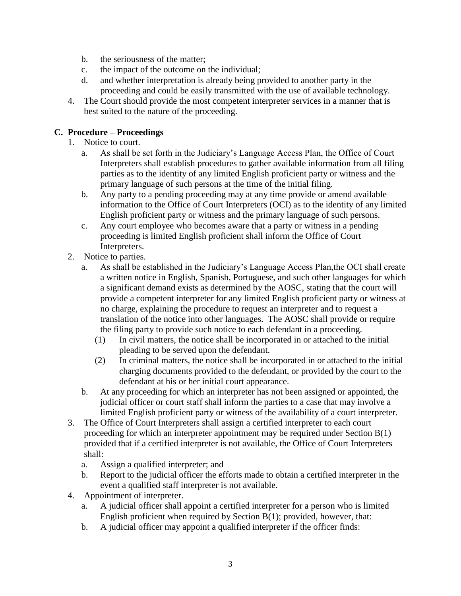- b. the seriousness of the matter;
- c. the impact of the outcome on the individual;
- d. and whether interpretation is already being provided to another party in the proceeding and could be easily transmitted with the use of available technology.
- 4. The Court should provide the most competent interpreter services in a manner that is best suited to the nature of the proceeding.

### **C. Procedure – Proceedings**

- 1. Notice to court.
	- a. As shall be set forth in the Judiciary's Language Access Plan, the Office of Court Interpreters shall establish procedures to gather available information from all filing parties as to the identity of any limited English proficient party or witness and the primary language of such persons at the time of the initial filing.
	- b. Any party to a pending proceeding may at any time provide or amend available information to the Office of Court Interpreters (OCI) as to the identity of any limited English proficient party or witness and the primary language of such persons.
	- c. Any court employee who becomes aware that a party or witness in a pending proceeding is limited English proficient shall inform the Office of Court Interpreters.
- 2. Notice to parties.
	- a. As shall be established in the Judiciary's Language Access Plan,the OCI shall create a written notice in English, Spanish, Portuguese, and such other languages for which a significant demand exists as determined by the AOSC, stating that the court will provide a competent interpreter for any limited English proficient party or witness at no charge, explaining the procedure to request an interpreter and to request a translation of the notice into other languages. The AOSC shall provide or require the filing party to provide such notice to each defendant in a proceeding.
		- (1) In civil matters, the notice shall be incorporated in or attached to the initial pleading to be served upon the defendant.
		- (2) In criminal matters, the notice shall be incorporated in or attached to the initial charging documents provided to the defendant, or provided by the court to the defendant at his or her initial court appearance.
	- b. At any proceeding for which an interpreter has not been assigned or appointed, the judicial officer or court staff shall inform the parties to a case that may involve a limited English proficient party or witness of the availability of a court interpreter.
- 3. The Office of Court Interpreters shall assign a certified interpreter to each court proceeding for which an interpreter appointment may be required under Section B(1) provided that if a certified interpreter is not available, the Office of Court Interpreters shall:
	- a. Assign a qualified interpreter; and
	- b. Report to the judicial officer the efforts made to obtain a certified interpreter in the event a qualified staff interpreter is not available.
- 4. Appointment of interpreter.
	- a. A judicial officer shall appoint a certified interpreter for a person who is limited English proficient when required by Section B(1); provided, however, that:
	- b. A judicial officer may appoint a qualified interpreter if the officer finds: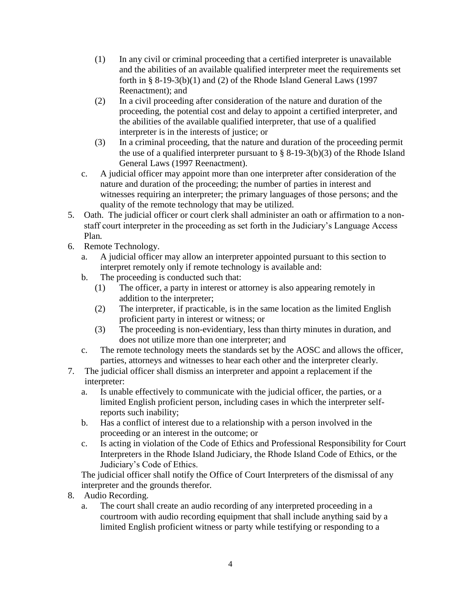- (1) In any civil or criminal proceeding that a certified interpreter is unavailable and the abilities of an available qualified interpreter meet the requirements set forth in  $\S 8-19-3(b)(1)$  and (2) of the Rhode Island General Laws (1997 Reenactment); and
- (2) In a civil proceeding after consideration of the nature and duration of the proceeding, the potential cost and delay to appoint a certified interpreter, and the abilities of the available qualified interpreter, that use of a qualified interpreter is in the interests of justice; or
- (3) In a criminal proceeding, that the nature and duration of the proceeding permit the use of a qualified interpreter pursuant to  $\S$  8-19-3(b)(3) of the Rhode Island General Laws (1997 Reenactment).
- c. A judicial officer may appoint more than one interpreter after consideration of the nature and duration of the proceeding; the number of parties in interest and witnesses requiring an interpreter; the primary languages of those persons; and the quality of the remote technology that may be utilized.
- 5. Oath. The judicial officer or court clerk shall administer an oath or affirmation to a nonstaff court interpreter in the proceeding as set forth in the Judiciary's Language Access Plan*.*
- 6. Remote Technology.
	- a. A judicial officer may allow an interpreter appointed pursuant to this section to interpret remotely only if remote technology is available and:
	- b. The proceeding is conducted such that:
		- (1) The officer, a party in interest or attorney is also appearing remotely in addition to the interpreter;
		- (2) The interpreter, if practicable, is in the same location as the limited English proficient party in interest or witness; or
		- (3) The proceeding is non-evidentiary, less than thirty minutes in duration, and does not utilize more than one interpreter; and
	- c. The remote technology meets the standards set by the AOSC and allows the officer, parties, attorneys and witnesses to hear each other and the interpreter clearly.
- 7. The judicial officer shall dismiss an interpreter and appoint a replacement if the interpreter:
	- a. Is unable effectively to communicate with the judicial officer, the parties, or a limited English proficient person, including cases in which the interpreter selfreports such inability;
	- b. Has a conflict of interest due to a relationship with a person involved in the proceeding or an interest in the outcome; or
	- c. Is acting in violation of the Code of Ethics and Professional Responsibility for Court Interpreters in the Rhode Island Judiciary, the Rhode Island Code of Ethics, or the Judiciary's Code of Ethics.

The judicial officer shall notify the Office of Court Interpreters of the dismissal of any interpreter and the grounds therefor.

- 8. Audio Recording.
	- a. The court shall create an audio recording of any interpreted proceeding in a courtroom with audio recording equipment that shall include anything said by a limited English proficient witness or party while testifying or responding to a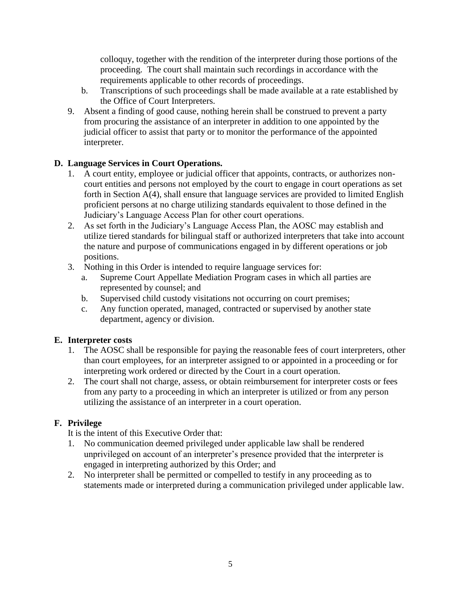colloquy, together with the rendition of the interpreter during those portions of the proceeding. The court shall maintain such recordings in accordance with the requirements applicable to other records of proceedings.

- b. Transcriptions of such proceedings shall be made available at a rate established by the Office of Court Interpreters.
- 9. Absent a finding of good cause, nothing herein shall be construed to prevent a party from procuring the assistance of an interpreter in addition to one appointed by the judicial officer to assist that party or to monitor the performance of the appointed interpreter.

### **D. Language Services in Court Operations.**

- 1. A court entity, employee or judicial officer that appoints, contracts, or authorizes noncourt entities and persons not employed by the court to engage in court operations as set forth in Section A(4), shall ensure that language services are provided to limited English proficient persons at no charge utilizing standards equivalent to those defined in the Judiciary's Language Access Plan for other court operations.
- 2. As set forth in the Judiciary's Language Access Plan, the AOSC may establish and utilize tiered standards for bilingual staff or authorized interpreters that take into account the nature and purpose of communications engaged in by different operations or job positions.
- 3. Nothing in this Order is intended to require language services for:
	- a. Supreme Court Appellate Mediation Program cases in which all parties are represented by counsel; and
	- b. Supervised child custody visitations not occurring on court premises;
	- c. Any function operated, managed, contracted or supervised by another state department, agency or division.

### **E. Interpreter costs**

- 1. The AOSC shall be responsible for paying the reasonable fees of court interpreters, other than court employees, for an interpreter assigned to or appointed in a proceeding or for interpreting work ordered or directed by the Court in a court operation.
- 2. The court shall not charge, assess, or obtain reimbursement for interpreter costs or fees from any party to a proceeding in which an interpreter is utilized or from any person utilizing the assistance of an interpreter in a court operation.

### **F. Privilege**

It is the intent of this Executive Order that:

- 1. No communication deemed privileged under applicable law shall be rendered unprivileged on account of an interpreter's presence provided that the interpreter is engaged in interpreting authorized by this Order; and
- 2. No interpreter shall be permitted or compelled to testify in any proceeding as to statements made or interpreted during a communication privileged under applicable law.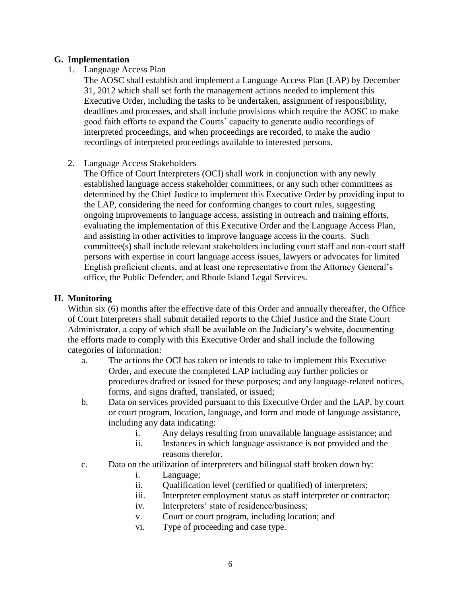#### **G. Implementation**

1. Language Access Plan

The AOSC shall establish and implement a Language Access Plan (LAP) by December 31, 2012 which shall set forth the management actions needed to implement this Executive Order, including the tasks to be undertaken, assignment of responsibility, deadlines and processes, and shall include provisions which require the AOSC to make good faith efforts to expand the Courts' capacity to generate audio recordings of interpreted proceedings, and when proceedings are recorded, to make the audio recordings of interpreted proceedings available to interested persons.

#### 2. Language Access Stakeholders

The Office of Court Interpreters (OCI) shall work in conjunction with any newly established language access stakeholder committees, or any such other committees as determined by the Chief Justice to implement this Executive Order by providing input to the LAP, considering the need for conforming changes to court rules, suggesting ongoing improvements to language access, assisting in outreach and training efforts, evaluating the implementation of this Executive Order and the Language Access Plan, and assisting in other activities to improve language access in the courts. Such committee(s) shall include relevant stakeholders including court staff and non-court staff persons with expertise in court language access issues, lawyers or advocates for limited English proficient clients, and at least one representative from the Attorney General's office, the Public Defender, and Rhode Island Legal Services.

### **H. Monitoring**

Within six (6) months after the effective date of this Order and annually thereafter, the Office of Court Interpreters shall submit detailed reports to the Chief Justice and the State Court Administrator, a copy of which shall be available on the Judiciary's website, documenting the efforts made to comply with this Executive Order and shall include the following categories of information:

- a. The actions the OCI has taken or intends to take to implement this Executive Order, and execute the completed LAP including any further policies or procedures drafted or issued for these purposes; and any language-related notices, forms, and signs drafted, translated, or issued;
- b. Data on services provided pursuant to this Executive Order and the LAP, by court or court program, location, language, and form and mode of language assistance, including any data indicating:
	- i. Any delays resulting from unavailable language assistance; and
	- ii. Instances in which language assistance is not provided and the reasons therefor.
- c. Data on the utilization of interpreters and bilingual staff broken down by:
	- i. Language;
	- ii. Qualification level (certified or qualified) of interpreters;
	- iii. Interpreter employment status as staff interpreter or contractor;
	- iv. Interpreters' state of residence/business;
	- v. Court or court program, including location; and
	- vi. Type of proceeding and case type.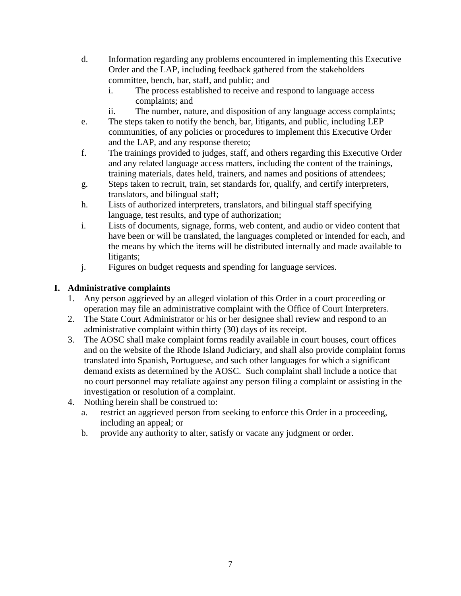- d. Information regarding any problems encountered in implementing this Executive Order and the LAP, including feedback gathered from the stakeholders committee, bench, bar, staff, and public; and
	- i. The process established to receive and respond to language access complaints; and
	- ii. The number, nature, and disposition of any language access complaints;
- e. The steps taken to notify the bench, bar, litigants, and public, including LEP communities, of any policies or procedures to implement this Executive Order and the LAP, and any response thereto;
- f. The trainings provided to judges, staff, and others regarding this Executive Order and any related language access matters, including the content of the trainings, training materials, dates held, trainers, and names and positions of attendees;
- g. Steps taken to recruit, train, set standards for, qualify, and certify interpreters, translators, and bilingual staff;
- h. Lists of authorized interpreters, translators, and bilingual staff specifying language, test results, and type of authorization;
- i. Lists of documents, signage, forms, web content, and audio or video content that have been or will be translated, the languages completed or intended for each, and the means by which the items will be distributed internally and made available to litigants;
- j. Figures on budget requests and spending for language services.

# **I. Administrative complaints**

- 1. Any person aggrieved by an alleged violation of this Order in a court proceeding or operation may file an administrative complaint with the Office of Court Interpreters.
- 2. The State Court Administrator or his or her designee shall review and respond to an administrative complaint within thirty (30) days of its receipt.
- 3. The AOSC shall make complaint forms readily available in court houses, court offices and on the website of the Rhode Island Judiciary, and shall also provide complaint forms translated into Spanish, Portuguese, and such other languages for which a significant demand exists as determined by the AOSC. Such complaint shall include a notice that no court personnel may retaliate against any person filing a complaint or assisting in the investigation or resolution of a complaint.
- 4. Nothing herein shall be construed to:
	- a. restrict an aggrieved person from seeking to enforce this Order in a proceeding, including an appeal; or
	- b. provide any authority to alter, satisfy or vacate any judgment or order.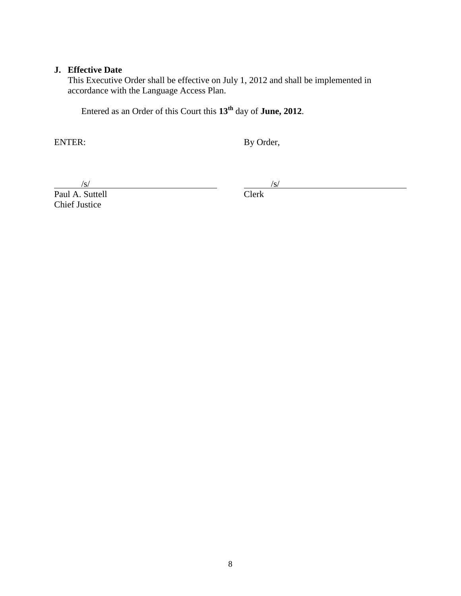#### **J. Effective Date**

This Executive Order shall be effective on July 1, 2012 and shall be implemented in accordance with the Language Access Plan.

Entered as an Order of this Court this **13 th** day of **June, 2012**.

ENTER: By Order,

 $\frac{|s|}{|s|}$  /s/<br>A. Suttell  $\frac{|s|}{|s|}$  $\frac{S}{\text{Paul A. Suttell}}$ Chief Justice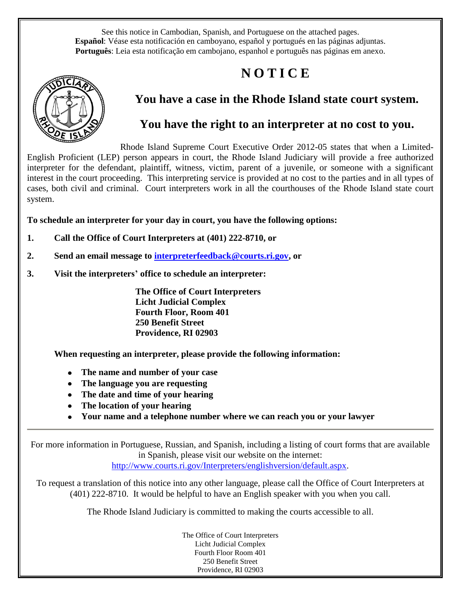See this notice in Cambodian, Spanish, and Portuguese on the attached pages. **Español**: Véase esta notificación en camboyano, español y portugués en las páginas adjuntas. **Português**: Leia esta notificação em cambojano, espanhol e português nas páginas em anexo.

# **N O T I C E**



# **You have a case in the Rhode Island state court system.**

# **You have the right to an interpreter at no cost to you.**

Rhode Island Supreme Court Executive Order 2012-05 states that when a Limited-English Proficient (LEP) person appears in court, the Rhode Island Judiciary will provide a free authorized interpreter for the defendant, plaintiff, witness, victim, parent of a juvenile, or someone with a significant interest in the court proceeding. This interpreting service is provided at no cost to the parties and in all types of cases, both civil and criminal. Court interpreters work in all the courthouses of the Rhode Island state court system.

**To schedule an interpreter for your day in court, you have the following options:** 

- **1. Call the Office of Court Interpreters at (401) 222-8710, or**
- **2. Send an email message to [interpreterfeedback@courts.ri.gov,](mailto:interpreterfeedback@courts.ri.gov) or**
- **3. Visit the interpreters' office to schedule an interpreter:**

**The Office of Court Interpreters Licht Judicial Complex Fourth Floor, Room 401 250 Benefit Street Providence, RI 02903**

**When requesting an interpreter, please provide the following information:** 

- **The name and number of your case**
- **The language you are requesting**
- **The date and time of your hearing**
- **The location of your hearing**
- **Your name and a telephone number where we can reach you or your lawyer**

For more information in Portuguese, Russian, and Spanish, including a listing of court forms that are available in Spanish, please visit our website on the internet:

[http://www.courts.ri.gov/Interpreters/englishversion/default.aspx.](http://www.courts.ri.gov/Interpreters/englishversion/default.aspx)

To request a translation of this notice into any other language, please call the Office of Court Interpreters at (401) 222-8710. It would be helpful to have an English speaker with you when you call.

The Rhode Island Judiciary is committed to making the courts accessible to all.

The Office of Court Interpreters Licht Judicial Complex Fourth Floor Room 401 250 Benefit Street Providence, RI 02903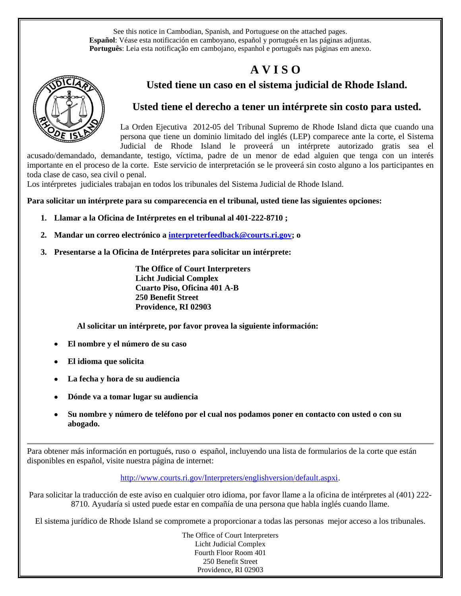See this notice in Cambodian, Spanish, and Portuguese on the attached pages. **Español**: Véase esta notificación en camboyano, español y portugués en las páginas adjuntas. **Português**: Leia esta notificação em cambojano, espanhol e português nas páginas em anexo.

# **A V I S O**



# **Usted tiene un caso en el sistema judicial de Rhode Island.**

# **Usted tiene el derecho a tener un intérprete sin costo para usted.**

La Orden Ejecutiva 2012-05 del Tribunal Supremo de Rhode Island dicta que cuando una persona que tiene un dominio limitado del inglés (LEP) comparece ante la corte, el Sistema Judicial de Rhode Island le proveerá un intérprete autorizado gratis sea el

acusado/demandado, demandante, testigo, víctima, padre de un menor de edad alguien que tenga con un interés importante en el proceso de la corte. Este servicio de interpretación se le proveerá sin costo alguno a los participantes en toda clase de caso, sea civil o penal.

Los intérpretes judiciales trabajan en todos los tribunales del Sistema Judicial de Rhode Island.

**Para solicitar un intérprete para su comparecencia en el tribunal, usted tiene las siguientes opciones:** 

- **1. Llamar a la Oficina de Intérpretes en el tribunal al 401-222-8710 ;**
- **2. Mandar un correo electrónico a [interpreterfeedback@courts.ri.gov;](mailto:interpreterfeedback@courts.ri.gov) o**
- **3. Presentarse a la Oficina de Intérpretes para solicitar un intérprete:**

**The Office of Court Interpreters Licht Judicial Complex Cuarto Piso, Oficina 401 A-B 250 Benefit Street Providence, RI 02903**

 **Al solicitar un intérprete, por favor provea la siguiente información:** 

- **El nombre y el número de su caso**
- **El idioma que solicita**
- **La fecha y hora de su audiencia**
- **Dónde va a tomar lugar su audiencia**
- **Su nombre y número de teléfono por el cual nos podamos poner en contacto con usted o con su abogado.**

Para obtener más información en portugués, ruso o español, incluyendo una lista de formularios de la corte que están disponibles en español, visite nuestra página de internet:

[http://www.courts.ri.gov/Interpreters/englishversion/default.aspxi.](http://www.courts.ri.gov/Interpreters/englishversion/default.aspxi)

Para solicitar la traducción de este aviso en cualquier otro idioma, por favor llame a la oficina de intérpretes al (401) 222- 8710. Ayudaría si usted puede estar en compañía de una persona que habla inglés cuando llame.

El sistema jurídico de Rhode Island se compromete a proporcionar a todas las personas mejor acceso a los tribunales.

The Office of Court Interpreters Licht Judicial Complex Fourth Floor Room 401 250 Benefit Street Providence, RI 02903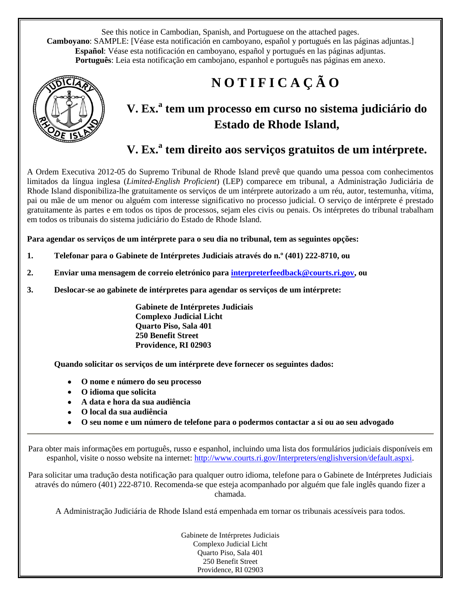See this notice in Cambodian, Spanish, and Portuguese on the attached pages. **Camboyano**: SAMPLE: [Véase esta notificación en camboyano, español y portugués en las páginas adjuntas.] **Español**: Véase esta notificación en camboyano, español y portugués en las páginas adjuntas. **Português**: Leia esta notificação em cambojano, espanhol e português nas páginas em anexo.



# **N O T I F I C A Ç Ã O**

# **V. Ex.<sup>a</sup> tem um processo em curso no sistema judiciário do Estado de Rhode Island,**

# **V. Ex.<sup>a</sup> tem direito aos serviços gratuitos de um intérprete.**

A Ordem Executiva 2012-05 do Supremo Tribunal de Rhode Island prevê que quando uma pessoa com conhecimentos limitados da língua inglesa (*Limited-English Proficient*) (LEP) comparece em tribunal, a Administração Judiciária de Rhode Island disponibiliza-lhe gratuitamente os serviços de um intérprete autorizado a um réu, autor, testemunha, vítima, pai ou mãe de um menor ou alguém com interesse significativo no processo judicial. O serviço de intérprete é prestado gratuitamente às partes e em todos os tipos de processos, sejam eles civis ou penais. Os intérpretes do tribunal trabalham em todos os tribunais do sistema judiciário do Estado de Rhode Island.

**Para agendar os serviços de um intérprete para o seu dia no tribunal, tem as seguintes opções:** 

- **1. Telefonar para o Gabinete de Intérpretes Judiciais através do n.º (401) 222-8710, ou**
- **2. Enviar uma mensagem de correio eletrónico para [interpreterfeedback@courts.ri.gov,](mailto:interpreterfeedback@courts.ri.gov) ou**
- **3. Deslocar-se ao gabinete de intérpretes para agendar os serviços de um intérprete:**

**Gabinete de Intérpretes Judiciais Complexo Judicial Licht Quarto Piso, Sala 401 250 Benefit Street Providence, RI 02903**

**Quando solicitar os serviços de um intérprete deve fornecer os seguintes dados:** 

- **O nome e número do seu processo**
- **O idioma que solicita**
- **A data e hora da sua audiência**
- **O local da sua audiência**
- **O seu nome e um número de telefone para o podermos contactar a si ou ao seu advogado**

Para obter mais informações em português, russo e espanhol, incluindo uma lista dos formulários judiciais disponíveis em espanhol, visite o nosso website na internet: [http://www.courts.ri.gov/Interpreters/englishversion/default.aspxi.](http://www.courts.ri.gov/Interpreters/englishversion/default.aspxi)

Para solicitar uma tradução desta notificação para qualquer outro idioma, telefone para o Gabinete de Intérpretes Judiciais através do número (401) 222-8710. Recomenda-se que esteja acompanhado por alguém que fale inglês quando fizer a chamada.

A Administração Judiciária de Rhode Island está empenhada em tornar os tribunais acessíveis para todos.

Gabinete de Intérpretes Judiciais Complexo Judicial Licht Quarto Piso, Sala 401 250 Benefit Street Providence, RI 02903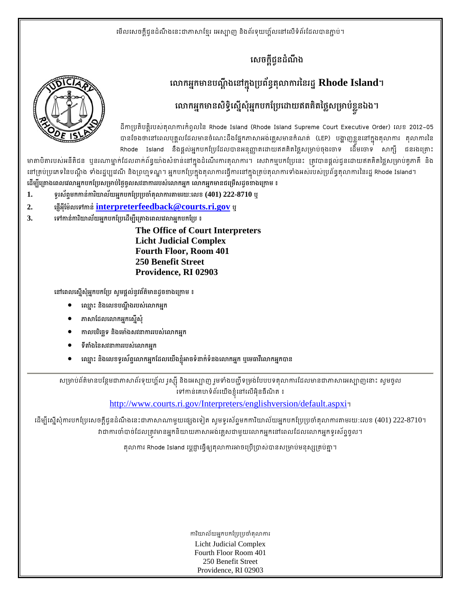# **េសចកជនដណង ្ដី ូ ំ ឹ**

# **សោកអ្នកមានបណ្ដឹងនៅក្នុងប្រព័ន្ធតុលាការនៃរដ្ឋ**  $\bf{R}$ **hode**  $\bf{Island}$ **។**

# **េǎកអកមនសទេសសអកបកែ្របេƽយឥតគតៃថស្រមបខនឯង។ ន ិ ធិ ើន ុ ំ ន ិ ្ល ់ ្លួ**

ដកាប្រតបត្តរបសតុលាការកពូលនៃ Rhode Island (Rhode Island Supreme Court Executive Order) លេខ 2012–05 បានចែងថានៅពេលបុគ្គលដែលមានចំណេះដងផ្នែកភាសាអង់គ្លេសមានកំណត់ (LEP) បង្ហាញខ្លួននៅក្នុងតុលាការ តុលាការនៃ Rhode Island នងផ្គលអ្នកបកប្រេដេលបានអនុញ្ញាតដោយឥតគតថ្លេសម្រាបចុងចោទ ដេមចោទ សាក្ស ជនរងគ្រោះ

មាតាបតារបស់អនតជន ឬនរណាម្នាក់ដេលពាក់ពន្ធយាងសខាននៅក្នុងដំណេរការតុលាការ។ សេវាកម្មបកប្រេនេះ ត្រូវបានផ្តួលជូនដោយឥតគត់ថ្លេសម្រាបគូភាគ នង នៅគ្របប្រភេទនេបណ្តូង ទាងរដ្ឋប្បវេណ នងព្រហ្មទណ្ឌ។ អ្នកបកប្រេក្នុងតុលាការធ្វេការនៅក្នុងគ្របតុលាការទាងអសរបសប្រពន្ធតុលាការនេរដ្ឋ Rhode Island។ ដេម្បីគ្រោងពេលវេលាអ្នកបកប្រេសម្រាបថ្ងេច្ចលសវនាការរបសលោកអ្នក លោកអ្នកមានជម្រេសដូចខាងក្រោម ៖

- **1. ទរសពមកកនករយលយអកបកែ្រប្របចតǎករǂមរយៈេលខ (401) 222-8710 ឬ ូ ័ ទ ់ ិ ័ ន ំ ុ**
- **2. េផអែមលេទកន interpreterfeedback@courts.ri.gov <sup>ឬ</sup> ញើ ុី ៉ ់**
- **3. េទកនករយលយអកបកែ្របេដមបេ្រគងេពលេវǎអកបកែ្រប ៖ ់ ិ ័ ន ើ ី ន**

**The Office of Court Interpreters Licht Judicial Complex Fourth Floor, Room 401 250 Benefit Street Providence, RI 02903** 

**េនេពលេសសអកបកែ្រប សមផលនវពតមនដចខងេ្រកម ៖ ន ុ ំ ន ូ ្ដ ់ ូ ័ ៌ ូ**

- **េឈះ នងេលខបណងរបសេǎកអក ន ិ ្ដ ឹ ់ នន នើ ុ**
- ភាសាដែលលោកអ្នកស្នើសុំ
- **កលបរេចទ នងេមងសវនកររបសេǎកអក** សោដេលលោកអ្នកស្នេសុ<br>លេបវិច្ឆេទ និងម៉ោងសវនាការរបស់លោកអ្ន<br>តាំងនៃសវនាការរបស់លោកអ្នក
- **ទǂងៃនសវនកររបសេǎកអក**
- $\bullet$  ឈ្នោះ និងលេខទូរស័ព្ទលោកអ្នកដែលយើងខ្ញុំអាចទំនាក់ទំនងលោកអ្នក ឬមេធាវីលោកអ្នកបាន

សម្រាបពតមានបន្ថែមជាភាសាពរទុយហ្គល រូស្ស៊ី នងអេស្បាញ រួមទាងបញ្ជូទម្រង់បែបបទតុលាការដែលមានជាភាសាអេស្បាញនោះ សូមចូល ទៅកាន់គេហទំព័រយើងខ្ញុំនៅលើអ៊ិនធឺណិត ៖<br>`

http://www.courts.ri.gov/Interpreters/englishversion/default.aspxi។

ដើម្បីស្នើសុំការបកប្រែសេចក្តីជូនដំណឹងនេះជាភាសាណាមួយផ្សេងទៀត ស្ងមទូរស័ព្ទមកការិយាល័យអ្នកបកប្រែប្រចាំតុលាការតាមរយ:លេខ (401) 222-8710។ វាជាការចាបាចដែលត្រូវមានអ្នកនយាយភាសាអងគ្លេសជាមួយលោកអ្នកនៅពេលដែលលោកអ្នកទូរសព្ទចូល។

តុលាការ Rhode Island ប្តេជ្ញាធ្វេឲ្យតុលាការអាចប្រេប្រាសបានសម្រាបមនុស្សគ្របគ្នា។

ការយាលយអ្នកបកប្រែប្រចាតុលាការ Licht Judicial Complex Fourth Floor Room 401 250 Benefit Street Providence, RI 02903

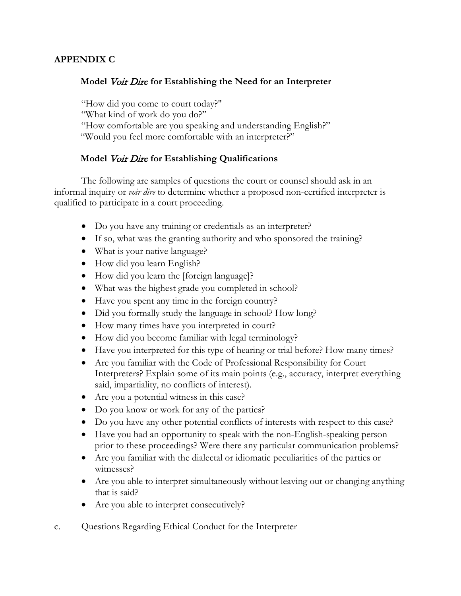### **APPENDIX C**

### **Model** Voir Dire **for Establishing the Need for an Interpreter**

"How did you come to court today?" "What kind of work do you do?" "How comfortable are you speaking and understanding English?" "Would you feel more comfortable with an interpreter?"

### **Model** Voir Dire **for Establishing Qualifications**

The following are samples of questions the court or counsel should ask in an informal inquiry or *voir dire* to determine whether a proposed non-certified interpreter is qualified to participate in a court proceeding.

- Do you have any training or credentials as an interpreter?
- If so, what was the granting authority and who sponsored the training?
- What is your native language?
- How did you learn English?
- How did you learn the [foreign language]?
- What was the highest grade you completed in school?
- Have you spent any time in the foreign country?
- Did you formally study the language in school? How long?
- How many times have you interpreted in court?
- How did you become familiar with legal terminology?
- Have you interpreted for this type of hearing or trial before? How many times?
- Are you familiar with the Code of Professional Responsibility for Court Interpreters? Explain some of its main points (e.g., accuracy, interpret everything said, impartiality, no conflicts of interest).
- Are you a potential witness in this case?
- Do you know or work for any of the parties?
- Do you have any other potential conflicts of interests with respect to this case?
- Have you had an opportunity to speak with the non-English-speaking person prior to these proceedings? Were there any particular communication problems?
- Are you familiar with the dialectal or idiomatic peculiarities of the parties or witnesses?
- Are you able to interpret simultaneously without leaving out or changing anything that is said?
- Are you able to interpret consecutively?
- c. Questions Regarding Ethical Conduct for the Interpreter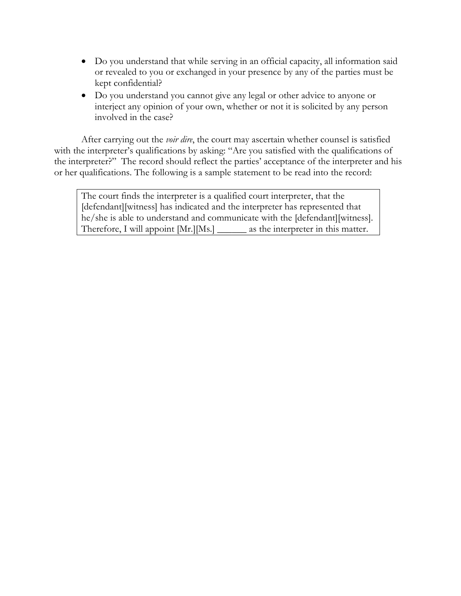- Do you understand that while serving in an official capacity, all information said or revealed to you or exchanged in your presence by any of the parties must be kept confidential?
- Do you understand you cannot give any legal or other advice to anyone or interject any opinion of your own, whether or not it is solicited by any person involved in the case?

After carrying out the *voir dire*, the court may ascertain whether counsel is satisfied with the interpreter's qualifications by asking: "Are you satisfied with the qualifications of the interpreter?" The record should reflect the parties' acceptance of the interpreter and his or her qualifications. The following is a sample statement to be read into the record:

The court finds the interpreter is a qualified court interpreter, that the [defendant][witness] has indicated and the interpreter has represented that he/she is able to understand and communicate with the [defendant][witness]. Therefore, I will appoint [Mr.][Ms.] \_\_\_\_\_\_ as the interpreter in this matter.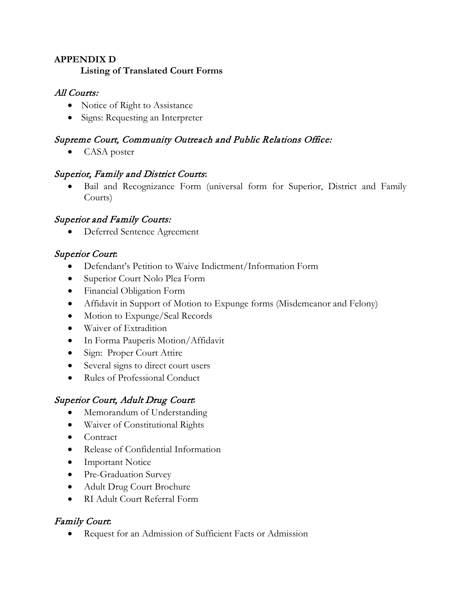# **APPENDIX D Listing of Translated Court Forms**

# All Courts:

- Notice of Right to Assistance
- Signs: Requesting an Interpreter

# Supreme Court, Community Outreach and Public Relations Office:

CASA poster

# Superior, Family and District Courts**:**

Bail and Recognizance Form (universal form for Superior, District and Family Courts)

# Superior and Family Courts:

Deferred Sentence Agreement

# Superior Court**:**

- Defendant's Petition to Waive Indictment/Information Form
- Superior Court Nolo Plea Form
- Financial Obligation Form
- Affidavit in Support of Motion to Expunge forms (Misdemeanor and Felony)
- Motion to Expunge/Seal Records
- Waiver of Extradition
- In Forma Pauperis Motion/Affidavit
- Sign: Proper Court Attire
- Several signs to direct court users
- Rules of Professional Conduct

# Superior Court, Adult Drug Court**:**

- Memorandum of Understanding
- Waiver of Constitutional Rights
- Contract
- Release of Confidential Information
- Important Notice
- Pre-Graduation Survey
- Adult Drug Court Brochure
- RI Adult Court Referral Form

# Family Court**:**

• Request for an Admission of Sufficient Facts or Admission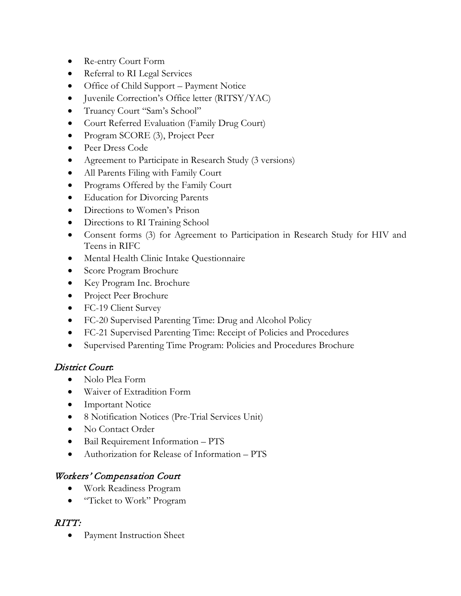- Re-entry Court Form
- Referral to RI Legal Services
- Office of Child Support Payment Notice
- Juvenile Correction's Office letter (RITSY/YAC)
- Truancy Court "Sam's School"
- Court Referred Evaluation (Family Drug Court)
- Program SCORE (3), Project Peer
- Peer Dress Code
- Agreement to Participate in Research Study (3 versions)
- All Parents Filing with Family Court
- Programs Offered by the Family Court
- Education for Divorcing Parents
- Directions to Women's Prison
- Directions to RI Training School
- Consent forms (3) for Agreement to Participation in Research Study for HIV and Teens in RIFC
- Mental Health Clinic Intake Questionnaire
- Score Program Brochure
- Key Program Inc. Brochure
- Project Peer Brochure
- FC-19 Client Survey
- FC-20 Supervised Parenting Time: Drug and Alcohol Policy
- FC-21 Supervised Parenting Time: Receipt of Policies and Procedures
- Supervised Parenting Time Program: Policies and Procedures Brochure

# District Court**:**

- Nolo Plea Form
- Waiver of Extradition Form
- Important Notice
- 8 Notification Notices (Pre-Trial Services Unit)
- No Contact Order
- Bail Requirement Information PTS
- Authorization for Release of Information PTS

# Workers' Compensation Court

- Work Readiness Program
- "Ticket to Work" Program

# RITT:

• Payment Instruction Sheet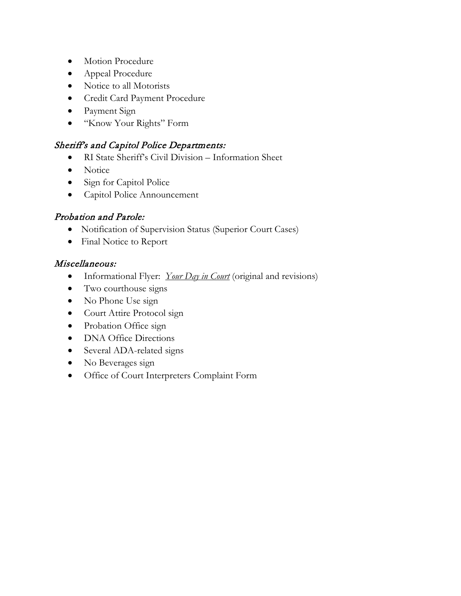- Motion Procedure
- Appeal Procedure
- Notice to all Motorists
- Credit Card Payment Procedure
- Payment Sign
- "Know Your Rights" Form

## Sheriff's and Capitol Police Departments:

- RI State Sheriff's Civil Division Information Sheet
- Notice
- Sign for Capitol Police
- Capitol Police Announcement

# Probation and Parole:

- Notification of Supervision Status (Superior Court Cases)
- Final Notice to Report

### Miscellaneous:

- Informational Flyer: *Your Day in Court* (original and revisions)
- Two courthouse signs
- No Phone Use sign
- Court Attire Protocol sign
- Probation Office sign
- DNA Office Directions
- Several ADA-related signs
- No Beverages sign
- Office of Court Interpreters Complaint Form